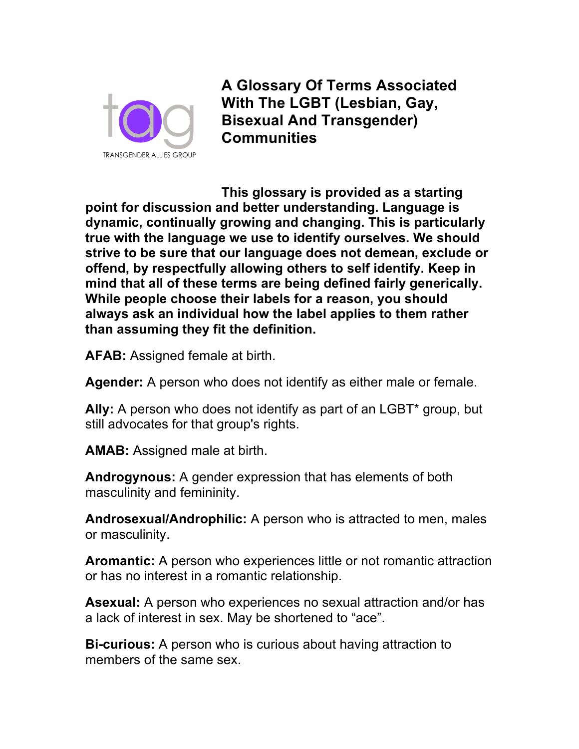

**A Glossary Of Terms Associated With The LGBT (Lesbian, Gay, Bisexual And Transgender) Communities**

**This glossary is provided as a starting point for discussion and better understanding. Language is dynamic, continually growing and changing. This is particularly true with the language we use to identify ourselves. We should strive to be sure that our language does not demean, exclude or offend, by respectfully allowing others to self identify. Keep in mind that all of these terms are being defined fairly generically. While people choose their labels for a reason, you should always ask an individual how the label applies to them rather than assuming they fit the definition.**

**AFAB:** Assigned female at birth.

**Agender:** A person who does not identify as either male or female.

**Ally:** A person who does not identify as part of an LGBT\* group, but still advocates for that group's rights.

**AMAB:** Assigned male at birth.

**Androgynous:** A gender expression that has elements of both masculinity and femininity.

**Androsexual/Androphilic:** A person who is attracted to men, males or masculinity.

**Aromantic:** A person who experiences little or not romantic attraction or has no interest in a romantic relationship.

**Asexual:** A person who experiences no sexual attraction and/or has a lack of interest in sex. May be shortened to "ace".

**Bi-curious:** A person who is curious about having attraction to members of the same sex.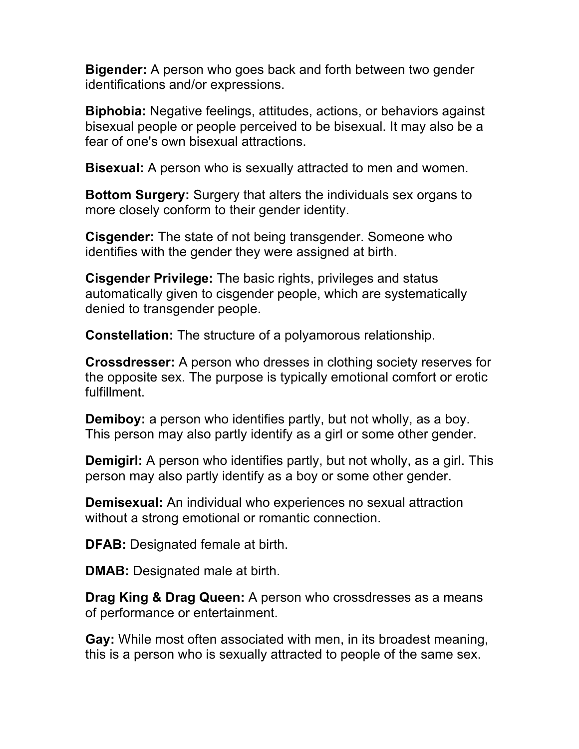**Bigender:** A person who goes back and forth between two gender identifications and/or expressions.

**Biphobia:** Negative feelings, attitudes, actions, or behaviors against bisexual people or people perceived to be bisexual. It may also be a fear of one's own bisexual attractions.

**Bisexual:** A person who is sexually attracted to men and women.

**Bottom Surgery:** Surgery that alters the individuals sex organs to more closely conform to their gender identity.

**Cisgender:** The state of not being transgender. Someone who identifies with the gender they were assigned at birth.

**Cisgender Privilege:** The basic rights, privileges and status automatically given to cisgender people, which are systematically denied to transgender people.

**Constellation:** The structure of a polyamorous relationship.

**Crossdresser:** A person who dresses in clothing society reserves for the opposite sex. The purpose is typically emotional comfort or erotic fulfillment.

**Demiboy:** a person who identifies partly, but not wholly, as a boy. This person may also partly identify as a girl or some other gender.

**Demigirl:** A person who identifies partly, but not wholly, as a girl. This person may also partly identify as a boy or some other gender.

**Demisexual:** An individual who experiences no sexual attraction without a strong emotional or romantic connection.

**DFAB:** Designated female at birth.

**DMAB:** Designated male at birth.

**Drag King & Drag Queen:** A person who crossdresses as a means of performance or entertainment.

**Gay:** While most often associated with men, in its broadest meaning, this is a person who is sexually attracted to people of the same sex.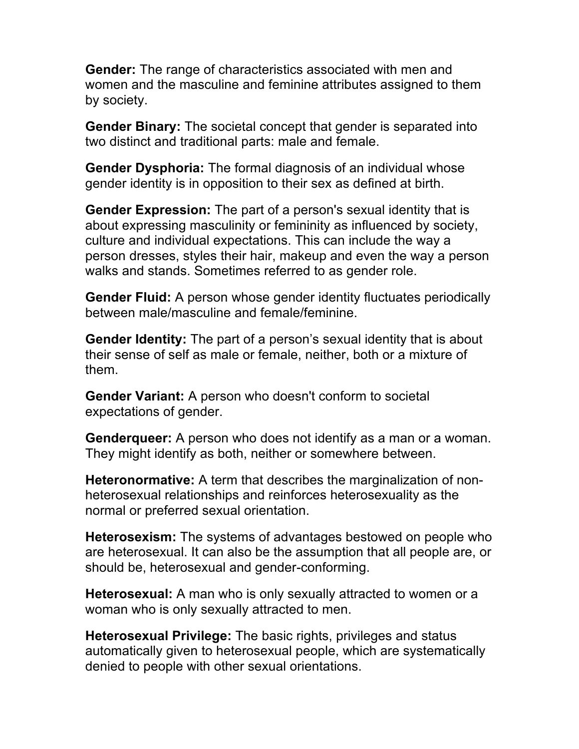**Gender:** The range of characteristics associated with men and women and the masculine and feminine attributes assigned to them by society.

**Gender Binary:** The societal concept that gender is separated into two distinct and traditional parts: male and female.

**Gender Dysphoria:** The formal diagnosis of an individual whose gender identity is in opposition to their sex as defined at birth.

**Gender Expression:** The part of a person's sexual identity that is about expressing masculinity or femininity as influenced by society, culture and individual expectations. This can include the way a person dresses, styles their hair, makeup and even the way a person walks and stands. Sometimes referred to as gender role.

**Gender Fluid:** A person whose gender identity fluctuates periodically between male/masculine and female/feminine.

**Gender Identity:** The part of a person's sexual identity that is about their sense of self as male or female, neither, both or a mixture of them.

**Gender Variant:** A person who doesn't conform to societal expectations of gender.

**Genderqueer:** A person who does not identify as a man or a woman. They might identify as both, neither or somewhere between.

**Heteronormative:** A term that describes the marginalization of nonheterosexual relationships and reinforces heterosexuality as the normal or preferred sexual orientation.

**Heterosexism:** The systems of advantages bestowed on people who are heterosexual. It can also be the assumption that all people are, or should be, heterosexual and gender-conforming.

**Heterosexual:** A man who is only sexually attracted to women or a woman who is only sexually attracted to men.

**Heterosexual Privilege:** The basic rights, privileges and status automatically given to heterosexual people, which are systematically denied to people with other sexual orientations.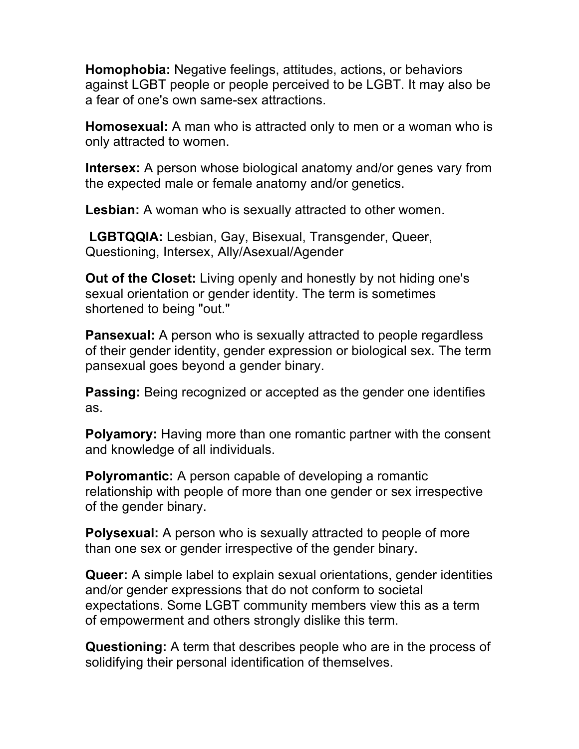**Homophobia:** Negative feelings, attitudes, actions, or behaviors against LGBT people or people perceived to be LGBT. It may also be a fear of one's own same-sex attractions.

**Homosexual:** A man who is attracted only to men or a woman who is only attracted to women.

**Intersex:** A person whose biological anatomy and/or genes vary from the expected male or female anatomy and/or genetics.

**Lesbian:** A woman who is sexually attracted to other women.

**LGBTQQIA:** Lesbian, Gay, Bisexual, Transgender, Queer, Questioning, Intersex, Ally/Asexual/Agender

**Out of the Closet:** Living openly and honestly by not hiding one's sexual orientation or gender identity. The term is sometimes shortened to being "out."

**Pansexual:** A person who is sexually attracted to people regardless of their gender identity, gender expression or biological sex. The term pansexual goes beyond a gender binary.

**Passing:** Being recognized or accepted as the gender one identifies as.

**Polyamory:** Having more than one romantic partner with the consent and knowledge of all individuals.

**Polyromantic:** A person capable of developing a romantic relationship with people of more than one gender or sex irrespective of the gender binary.

**Polysexual:** A person who is sexually attracted to people of more than one sex or gender irrespective of the gender binary.

**Queer:** A simple label to explain sexual orientations, gender identities and/or gender expressions that do not conform to societal expectations. Some LGBT community members view this as a term of empowerment and others strongly dislike this term.

**Questioning:** A term that describes people who are in the process of solidifying their personal identification of themselves.